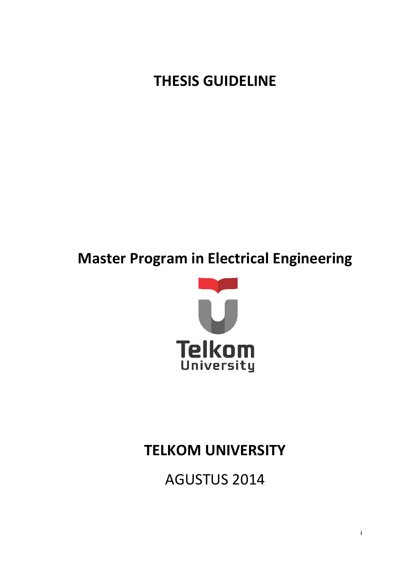**THESIS GUIDELINE**

# **Master Program in Electrical Engineering**



# **TELKOM UNIVERSITY**

**AGUSTUS 2014**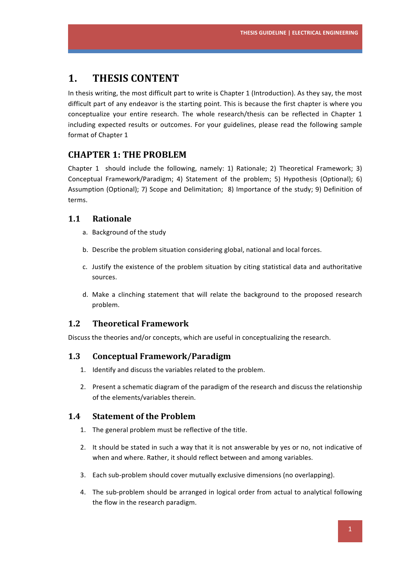# **1. THESIS CONTENT**

In thesis writing, the most difficult part to write is Chapter 1 (Introduction). As they say, the most difficult part of any endeavor is the starting point. This is because the first chapter is where you conceptualize your entire research. The whole research/thesis can be reflected in Chapter 1 including expected results or outcomes. For your guidelines, please read the following sample format of Chapter 1

# **CHAPTER 1: THE PROBLEM**

Chapter 1 should include the following, namely: 1) Rationale; 2) Theoretical Framework; 3) Conceptual Framework/Paradigm; 4) Statement of the problem; 5) Hypothesis (Optional); 6) Assumption (Optional); 7) Scope and Delimitation; 8) Importance of the study; 9) Definition of terms.

### **1.1 Rationale**

- a. Background of the study
- b. Describe the problem situation considering global, national and local forces.
- c. Justify the existence of the problem situation by citing statistical data and authoritative sources.
- d. Make a clinching statement that will relate the background to the proposed research problem.

### **1.2 Theoretical Framework**

Discuss the theories and/or concepts, which are useful in conceptualizing the research.

### **1.3 Conceptual Framework/Paradigm**

- 1. Identify and discuss the variables related to the problem.
- 2. Present a schematic diagram of the paradigm of the research and discuss the relationship of the elements/variables therein.

### **1.4** Statement of the Problem

- 1. The general problem must be reflective of the title.
- 2. It should be stated in such a way that it is not answerable by yes or no, not indicative of when and where. Rather, it should reflect between and among variables.
- 3. Each sub-problem should cover mutually exclusive dimensions (no overlapping).
- 4. The sub-problem should be arranged in logical order from actual to analytical following the flow in the research paradigm.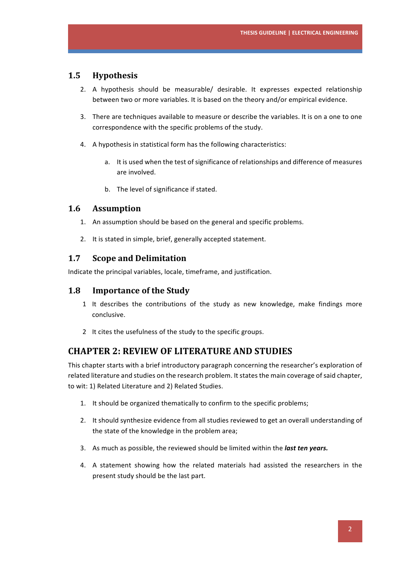### **1.5 Hypothesis**

- 2. A hypothesis should be measurable/ desirable. It expresses expected relationship between two or more variables. It is based on the theory and/or empirical evidence.
- 3. There are techniques available to measure or describe the variables. It is on a one to one correspondence with the specific problems of the study.
- 4. A hypothesis in statistical form has the following characteristics:
	- a. It is used when the test of significance of relationships and difference of measures are involved.
	- b. The level of significance if stated.

### **1.6 Assumption**

- 1. An assumption should be based on the general and specific problems.
- 2. It is stated in simple, brief, generally accepted statement.

### **1.7 Scope and Delimitation**

Indicate the principal variables, locale, timeframe, and justification.

### **1.8** Importance of the Study

- 1 It describes the contributions of the study as new knowledge, make findings more conclusive.
- 2 It cites the usefulness of the study to the specific groups.

### **CHAPTER 2: REVIEW OF LITERATURE AND STUDIES**

This chapter starts with a brief introductory paragraph concerning the researcher's exploration of related literature and studies on the research problem. It states the main coverage of said chapter, to wit: 1) Related Literature and 2) Related Studies.

- 1. It should be organized thematically to confirm to the specific problems;
- 2. It should synthesize evidence from all studies reviewed to get an overall understanding of the state of the knowledge in the problem area;
- 3. As much as possible, the reviewed should be limited within the **last ten years.**
- 4. A statement showing how the related materials had assisted the researchers in the present study should be the last part.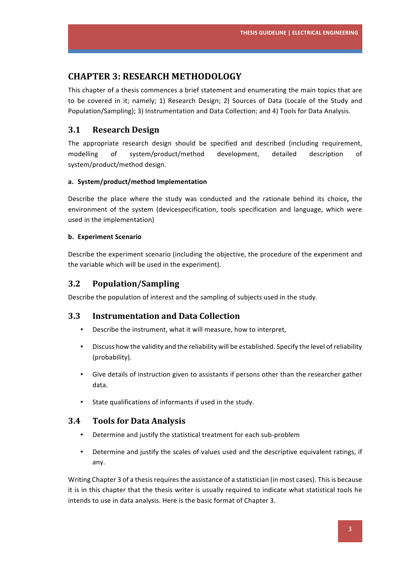### **CHAPTER 3: RESEARCH METHODOLOGY**

This chapter of a thesis commences a brief statement and enumerating the main topics that are to be covered in it; namely; 1) Research Design; 2) Sources of Data (Locale of the Study and Population/Sampling); 3) Instrumentation and Data Collection; and 4) Tools for Data Analysis.

### **3.1 Research Design**

The appropriate research design should be specified and described (including requirement, modelling of system/product/method development, detailed description of system/product/method design.

#### a. System/product/method Implementation

Describe the place where the study was conducted and the rationale behind its choice, the environment of the system (devicespecification, tools specification and language, which were used in the implementation)

#### **b. Experiment Scenario**

Describe the experiment scenario (including the objective, the procedure of the experiment and the variable which will be used in the experiment).

### **3.2 Population/Sampling**

Describe the population of interest and the sampling of subjects used in the study.

### **3.3 Instrumentation and Data Collection**

- Describe the instrument, what it will measure, how to interpret,
- Discuss how the validity and the reliability will be established. Specify the level of reliability (probability).
- Give details of instruction given to assistants if persons other than the researcher gather data.
- State qualifications of informants if used in the study.

### **3.4 Tools for Data Analysis**

- Determine and justify the statistical treatment for each sub-problem
- Determine and justify the scales of values used and the descriptive equivalent ratings, if any.

Writing Chapter 3 of a thesis requires the assistance of a statistician (in most cases). This is because it is in this chapter that the thesis writer is usually required to indicate what statistical tools he intends to use in data analysis. Here is the basic format of Chapter 3.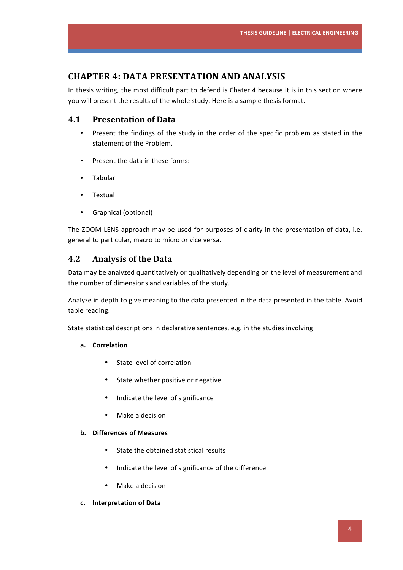# **CHAPTER 4: DATA PRESENTATION AND ANALYSIS**

In thesis writing, the most difficult part to defend is Chater 4 because it is in this section where you will present the results of the whole study. Here is a sample thesis format.

### **4.1 Presentation of Data**

- Present the findings of the study in the order of the specific problem as stated in the statement of the Problem.
- Present the data in these forms:
- Tabular
- Textual
- Graphical (optional)

The ZOOM LENS approach may be used for purposes of clarity in the presentation of data, i.e. general to particular, macro to micro or vice versa.

### **4.2 Analysis of the Data**

Data may be analyzed quantitatively or qualitatively depending on the level of measurement and the number of dimensions and variables of the study.

Analyze in depth to give meaning to the data presented in the data presented in the table. Avoid table reading.

State statistical descriptions in declarative sentences, e.g. in the studies involving:

### **a. Correlation**

- State level of correlation
- State whether positive or negative
- Indicate the level of significance
- Make a decision

### **b. Differences of Measures**

- State the obtained statistical results
- Indicate the level of significance of the difference
- Make a decision
- **c. Interpretation of Data**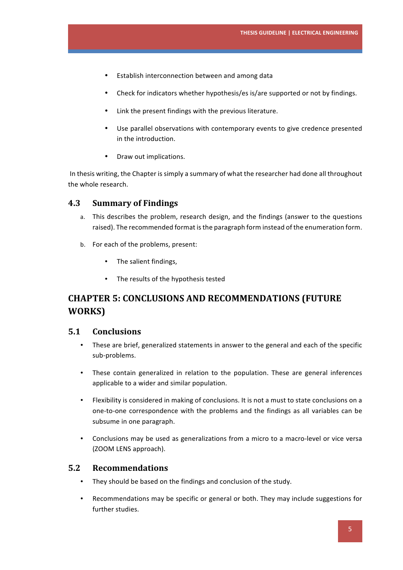- Establish interconnection between and among data
- Check for indicators whether hypothesis/es is/are supported or not by findings.
- Link the present findings with the previous literature.
- Use parallel observations with contemporary events to give credence presented in the introduction.
- Draw out implications.

In thesis writing, the Chapter is simply a summary of what the researcher had done all throughout the whole research.

### **4.3 Summary of Findings**

- a. This describes the problem, research design, and the findings (answer to the questions raised). The recommended format is the paragraph form instead of the enumeration form.
- b. For each of the problems, present:
	- The salient findings,
	- The results of the hypothesis tested

# **CHAPTER 5: CONCLUSIONS AND RECOMMENDATIONS (FUTURE WORKS)**

### **5.1 Conclusions**

- These are brief, generalized statements in answer to the general and each of the specific sub-problems.
- These contain generalized in relation to the population. These are general inferences applicable to a wider and similar population.
- Flexibility is considered in making of conclusions. It is not a must to state conclusions on a one-to-one correspondence with the problems and the findings as all variables can be subsume in one paragraph.
- Conclusions may be used as generalizations from a micro to a macro-level or vice versa (ZOOM LENS approach).

### **5.2 Recommendations**

- They should be based on the findings and conclusion of the study.
- Recommendations may be specific or general or both. They may include suggestions for further studies.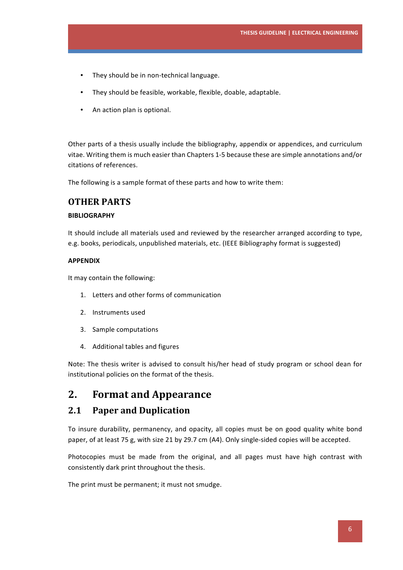- They should be in non-technical language.
- They should be feasible, workable, flexible, doable, adaptable.
- An action plan is optional.

Other parts of a thesis usually include the bibliography, appendix or appendices, and curriculum vitae. Writing them is much easier than Chapters 1-5 because these are simple annotations and/or citations of references.

The following is a sample format of these parts and how to write them:

### **OTHER PARTS**

#### **BIBLIOGRAPHY**

It should include all materials used and reviewed by the researcher arranged according to type, e.g. books, periodicals, unpublished materials, etc. (IEEE Bibliography format is suggested)

#### **APPENDIX**

It may contain the following:

- 1. Letters and other forms of communication
- 2. Instruments used
- 3. Sample computations
- 4. Additional tables and figures

Note: The thesis writer is advised to consult his/her head of study program or school dean for institutional policies on the format of the thesis.

# **2.** Format and Appearance

### **2.1 Paper and Duplication**

To insure durability, permanency, and opacity, all copies must be on good quality white bond paper, of at least 75 g, with size 21 by 29.7 cm (A4). Only single-sided copies will be accepted.

Photocopies must be made from the original, and all pages must have high contrast with consistently dark print throughout the thesis.

The print must be permanent; it must not smudge.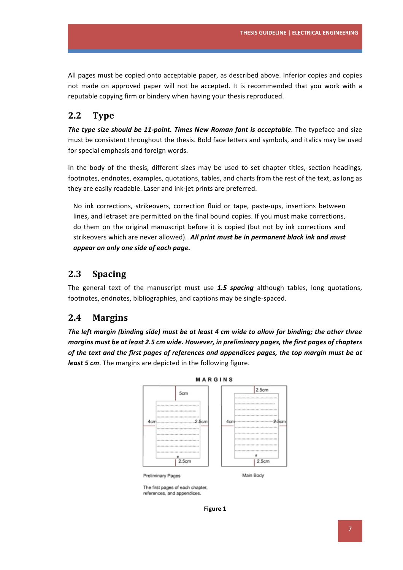All pages must be copied onto acceptable paper, as described above. Inferior copies and copies not made on approved paper will not be accepted. It is recommended that you work with a reputable copying firm or bindery when having your thesis reproduced.

# **2.2 Type**

The type size should be 11-point. Times New Roman font is acceptable. The typeface and size must be consistent throughout the thesis. Bold face letters and symbols, and italics may be used for special emphasis and foreign words.

In the body of the thesis, different sizes may be used to set chapter titles, section headings, footnotes, endnotes, examples, quotations, tables, and charts from the rest of the text, as long as they are easily readable. Laser and ink-jet prints are preferred.

No ink corrections, strikeovers, correction fluid or tape, paste-ups, insertions between lines, and letraset are permitted on the final bound copies. If you must make corrections, do them on the original manuscript before it is copied (but not by ink corrections and strikeovers which are never allowed). All print must be in permanent black ink and must appear on only one side of each page.

### 2.3 **Spacing**

The general text of the manuscript must use 1.5 spacing although tables, long quotations, footnotes, endnotes, bibliographies, and captions may be single-spaced.

### **2.4 Margins**

The left margin (binding side) must be at least 4 cm wide to allow for binding; the other three *margins must be at least 2.5 cm wide. However, in preliminary pages, the first pages of chapters* of the text and the first pages of references and appendices pages, the top margin must be at least 5 cm. The margins are depicted in the following figure.



The first pages of each chapter, references, and appendices

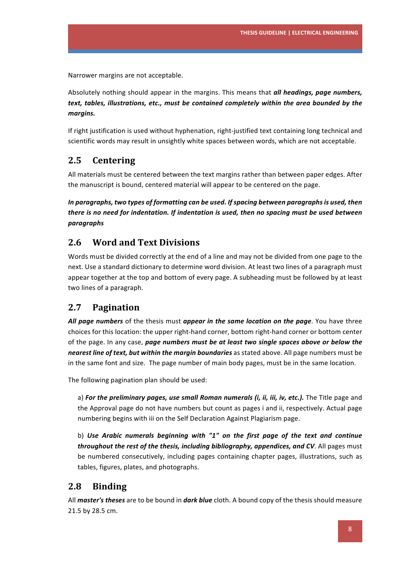Narrower margins are not acceptable.

Absolutely nothing should appear in the margins. This means that *all headings, page numbers,* text, tables, illustrations, etc., must be contained completely within the area bounded by the *margins.* 

If right justification is used without hyphenation, right-justified text containing long technical and scientific words may result in unsightly white spaces between words, which are not acceptable.

## 2.5 **Centering**

All materials must be centered between the text margins rather than between paper edges. After the manuscript is bound, centered material will appear to be centered on the page.

In paragraphs, two types of formatting can be used. If spacing between paragraphs is used, then *there is no need for indentation. If indentation is used, then no spacing must be used between paragraphs* 

# **2.6 Word and Text Divisions**

Words must be divided correctly at the end of a line and may not be divided from one page to the next. Use a standard dictionary to determine word division. At least two lines of a paragraph must appear together at the top and bottom of every page. A subheading must be followed by at least two lines of a paragraph.

## **2.7 Pagination**

All page numbers of the thesis must appear in the same location on the page. You have three choices for this location: the upper right-hand corner, bottom right-hand corner or bottom center of the page. In any case, *page numbers must be at least two single spaces above or below the* nearest line of text, but within the margin boundaries as stated above. All page numbers must be in the same font and size. The page number of main body pages, must be in the same location.

The following pagination plan should be used:

a) For the preliminary pages, use small Roman numerals (i, ii, iii, iv, etc.). The Title page and the Approval page do not have numbers but count as pages i and ii, respectively. Actual page numbering begins with iii on the Self Declaration Against Plagiarism page.

b) Use Arabic numerals beginning with "1" on the first page of the text and continue *throughout the rest of the thesis, including bibliography, appendices, and CV. All pages must* be numbered consecutively, including pages containing chapter pages, illustrations, such as tables, figures, plates, and photographs.

## 2.8 **Binding**

All *master's theses* are to be bound in *dark blue* cloth. A bound copy of the thesis should measure 21.5 by 28.5 cm.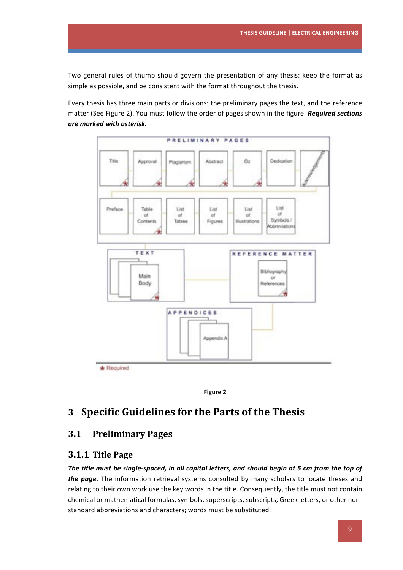Two general rules of thumb should govern the presentation of any thesis: keep the format as simple as possible, and be consistent with the format throughout the thesis.

Every thesis has three main parts or divisions: the preliminary pages the text, and the reference matter (See Figure 2). You must follow the order of pages shown in the figure. *Required sections are marked with asterisk.*





# **3 Specific Guidelines for the Parts of the Thesis**

### **3.1 Preliminary Pages**

### **3.1.1 Title Page**

The title must be single-spaced, in all capital letters, and should begin at 5 cm from the top of *the page*. The information retrieval systems consulted by many scholars to locate theses and relating to their own work use the key words in the title. Consequently, the title must not contain chemical or mathematical formulas, symbols, superscripts, subscripts, Greek letters, or other nonstandard abbreviations and characters; words must be substituted.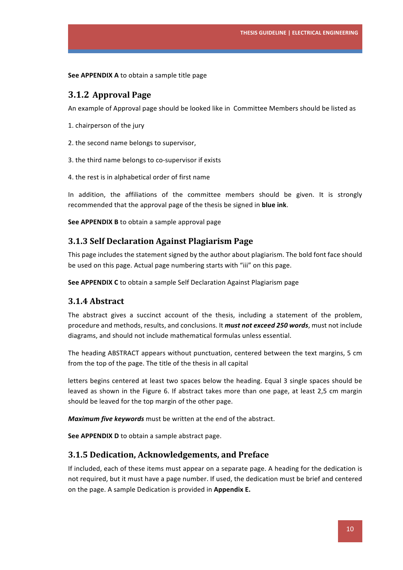**See APPENDIX A** to obtain a sample title page

### **3.1.2 Approval Page**

An example of Approval page should be looked like in Committee Members should be listed as

- 1. chairperson of the jury
- 2. the second name belongs to supervisor,
- 3. the third name belongs to co-supervisor if exists
- 4. the rest is in alphabetical order of first name

In addition, the affiliations of the committee members should be given. It is strongly recommended that the approval page of the thesis be signed in **blue ink**.

**See APPENDIX B** to obtain a sample approval page

### **3.1.3 Self Declaration Against Plagiarism Page**

This page includes the statement signed by the author about plagiarism. The bold font face should be used on this page. Actual page numbering starts with "iii" on this page.

**See APPENDIX C** to obtain a sample Self Declaration Against Plagiarism page

### **3.1.4 Abstract**

The abstract gives a succinct account of the thesis, including a statement of the problem, procedure and methods, results, and conclusions. It *must not exceed 250 words*, must not include diagrams, and should not include mathematical formulas unless essential.

The heading ABSTRACT appears without punctuation, centered between the text margins, 5 cm from the top of the page. The title of the thesis in all capital

letters begins centered at least two spaces below the heading. Equal 3 single spaces should be leaved as shown in the Figure 6. If abstract takes more than one page, at least 2,5 cm margin should be leaved for the top margin of the other page.

*Maximum five keywords* must be written at the end of the abstract.

**See APPENDIX D** to obtain a sample abstract page.

### **3.1.5** Dedication, Acknowledgements, and Preface

If included, each of these items must appear on a separate page. A heading for the dedication is not required, but it must have a page number. If used, the dedication must be brief and centered on the page. A sample Dedication is provided in **Appendix E.**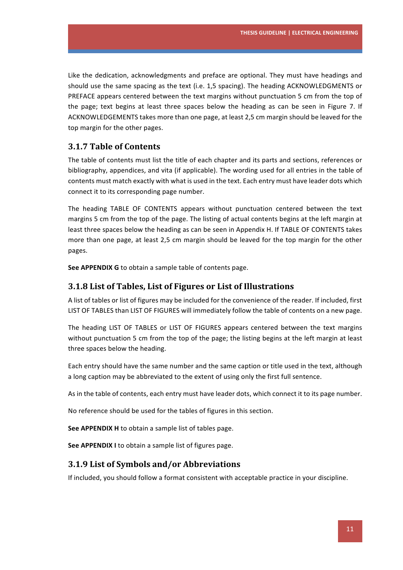Like the dedication, acknowledgments and preface are optional. They must have headings and should use the same spacing as the text (i.e. 1,5 spacing). The heading ACKNOWLEDGMENTS or PREFACE appears centered between the text margins without punctuation 5 cm from the top of the page; text begins at least three spaces below the heading as can be seen in Figure 7. If ACKNOWLEDGEMENTS takes more than one page, at least 2,5 cm margin should be leaved for the top margin for the other pages.

### **3.1.7 Table of Contents**

The table of contents must list the title of each chapter and its parts and sections, references or bibliography, appendices, and vita (if applicable). The wording used for all entries in the table of contents must match exactly with what is used in the text. Each entry must have leader dots which connect it to its corresponding page number.

The heading TABLE OF CONTENTS appears without punctuation centered between the text margins 5 cm from the top of the page. The listing of actual contents begins at the left margin at least three spaces below the heading as can be seen in Appendix H. If TABLE OF CONTENTS takes more than one page, at least 2,5 cm margin should be leaved for the top margin for the other pages. 

**See APPENDIX G** to obtain a sample table of contents page.

### **3.1.8 List of Tables, List of Figures or List of Illustrations**

A list of tables or list of figures may be included for the convenience of the reader. If included, first LIST OF TABLES than LIST OF FIGURES will immediately follow the table of contents on a new page.

The heading LIST OF TABLES or LIST OF FIGURES appears centered between the text margins without punctuation 5 cm from the top of the page; the listing begins at the left margin at least three spaces below the heading.

Each entry should have the same number and the same caption or title used in the text, although a long caption may be abbreviated to the extent of using only the first full sentence.

As in the table of contents, each entry must have leader dots, which connect it to its page number.

No reference should be used for the tables of figures in this section.

**See APPENDIX H** to obtain a sample list of tables page.

**See APPENDIX I** to obtain a sample list of figures page.

### **3.1.9 List of Symbols and/or Abbreviations**

If included, you should follow a format consistent with acceptable practice in your discipline.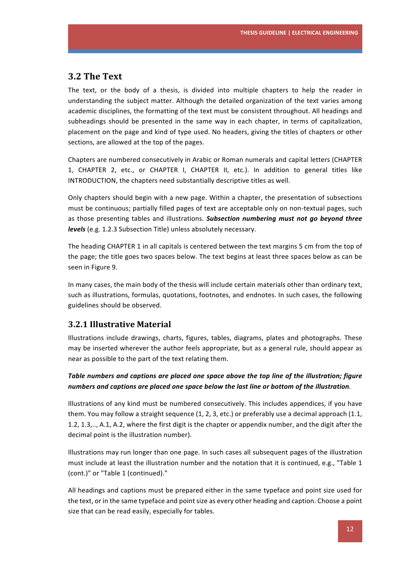### **3.2 The Text**

The text, or the body of a thesis, is divided into multiple chapters to help the reader in understanding the subject matter. Although the detailed organization of the text varies among academic disciplines, the formatting of the text must be consistent throughout. All headings and subheadings should be presented in the same way in each chapter, in terms of capitalization, placement on the page and kind of type used. No headers, giving the titles of chapters or other sections, are allowed at the top of the pages.

Chapters are numbered consecutively in Arabic or Roman numerals and capital letters (CHAPTER 1, CHAPTER 2, etc., or CHAPTER I, CHAPTER II, etc.). In addition to general titles like INTRODUCTION, the chapters need substantially descriptive titles as well.

Only chapters should begin with a new page. Within a chapter, the presentation of subsections must be continuous; partially filled pages of text are acceptable only on non-textual pages, such as those presenting tables and illustrations. Subsection numbering must not go beyond three *levels* (e.g. 1.2.3 Subsection Title) unless absolutely necessary.

The heading CHAPTER 1 in all capitals is centered between the text margins 5 cm from the top of the page; the title goes two spaces below. The text begins at least three spaces below as can be seen in Figure 9.

In many cases, the main body of the thesis will include certain materials other than ordinary text, such as illustrations, formulas, quotations, footnotes, and endnotes. In such cases, the following guidelines should be observed.

### **3.2.1 Illustrative Material**

Illustrations include drawings, charts, figures, tables, diagrams, plates and photographs. These may be inserted wherever the author feels appropriate, but as a general rule, should appear as near as possible to the part of the text relating them.

### Table numbers and captions are placed one space above the top line of the illustration; figure *numbers and captions are placed one space below the last line or bottom of the illustration.*

Illustrations of any kind must be numbered consecutively. This includes appendices, if you have them. You may follow a straight sequence  $(1, 2, 3, \text{etc.})$  or preferably use a decimal approach  $(1.1, 1)$ 1.2, 1.3,.., A.1, A.2, where the first digit is the chapter or appendix number, and the digit after the decimal point is the illustration number).

Illustrations may run longer than one page. In such cases all subsequent pages of the illustration must include at least the illustration number and the notation that it is continued, e.g., "Table 1 (cont.)" or "Table 1 (continued)."

All headings and captions must be prepared either in the same typeface and point size used for the text, or in the same typeface and point size as every other heading and caption. Choose a point size that can be read easily, especially for tables.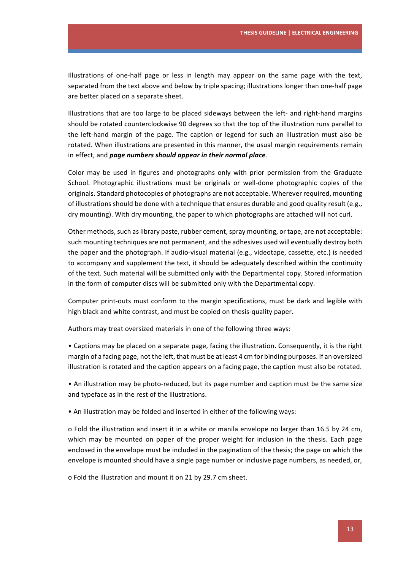Illustrations of one-half page or less in length may appear on the same page with the text, separated from the text above and below by triple spacing; illustrations longer than one-half page are better placed on a separate sheet.

Illustrations that are too large to be placed sideways between the left- and right-hand margins should be rotated counterclockwise 90 degrees so that the top of the illustration runs parallel to the left-hand margin of the page. The caption or legend for such an illustration must also be rotated. When illustrations are presented in this manner, the usual margin requirements remain in effect, and *page numbers should appear in their normal place*.

Color may be used in figures and photographs only with prior permission from the Graduate School. Photographic illustrations must be originals or well-done photographic copies of the originals. Standard photocopies of photographs are not acceptable. Wherever required, mounting of illustrations should be done with a technique that ensures durable and good quality result (e.g., dry mounting). With dry mounting, the paper to which photographs are attached will not curl.

Other methods, such as library paste, rubber cement, spray mounting, or tape, are not acceptable: such mounting techniques are not permanent, and the adhesives used will eventually destroy both the paper and the photograph. If audio-visual material (e.g., videotape, cassette, etc.) is needed to accompany and supplement the text, it should be adequately described within the continuity of the text. Such material will be submitted only with the Departmental copy. Stored information in the form of computer discs will be submitted only with the Departmental copy.

Computer print-outs must conform to the margin specifications, must be dark and legible with high black and white contrast, and must be copied on thesis-quality paper.

Authors may treat oversized materials in one of the following three ways:

• Captions may be placed on a separate page, facing the illustration. Consequently, it is the right margin of a facing page, not the left, that must be at least 4 cm for binding purposes. If an oversized illustration is rotated and the caption appears on a facing page, the caption must also be rotated.

• An illustration may be photo-reduced, but its page number and caption must be the same size and typeface as in the rest of the illustrations.

• An illustration may be folded and inserted in either of the following ways:

o Fold the illustration and insert it in a white or manila envelope no larger than 16.5 by 24 cm, which may be mounted on paper of the proper weight for inclusion in the thesis. Each page enclosed in the envelope must be included in the pagination of the thesis; the page on which the envelope is mounted should have a single page number or inclusive page numbers, as needed, or,

o Fold the illustration and mount it on 21 by 29.7 cm sheet.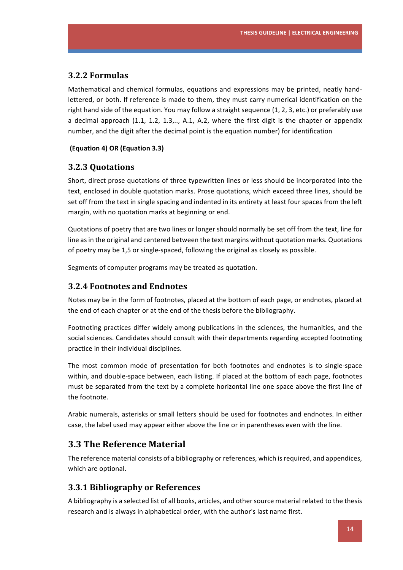### **3.2.2 Formulas**

Mathematical and chemical formulas, equations and expressions may be printed, neatly handlettered, or both. If reference is made to them, they must carry numerical identification on the right hand side of the equation. You may follow a straight sequence  $(1, 2, 3, etc.)$  or preferably use a decimal approach  $(1.1, 1.2, 1.3, \ldots, A.1, A.2,$  where the first digit is the chapter or appendix number, and the digit after the decimal point is the equation number) for identification

#### **(Equation 4) OR (Equation 3.3)**

### **3.2.3 Quotations**

Short, direct prose quotations of three typewritten lines or less should be incorporated into the text, enclosed in double quotation marks. Prose quotations, which exceed three lines, should be set off from the text in single spacing and indented in its entirety at least four spaces from the left margin, with no quotation marks at beginning or end.

Quotations of poetry that are two lines or longer should normally be set off from the text, line for line as in the original and centered between the text margins without quotation marks. Quotations of poetry may be 1,5 or single-spaced, following the original as closely as possible.

Segments of computer programs may be treated as quotation.

### **3.2.4 Footnotes and Endnotes**

Notes may be in the form of footnotes, placed at the bottom of each page, or endnotes, placed at the end of each chapter or at the end of the thesis before the bibliography.

Footnoting practices differ widely among publications in the sciences, the humanities, and the social sciences. Candidates should consult with their departments regarding accepted footnoting practice in their individual disciplines.

The most common mode of presentation for both footnotes and endnotes is to single-space within, and double-space between, each listing. If placed at the bottom of each page, footnotes must be separated from the text by a complete horizontal line one space above the first line of the footnote.

Arabic numerals, asterisks or small letters should be used for footnotes and endnotes. In either case, the label used may appear either above the line or in parentheses even with the line.

### **3.3 The Reference Material**

The reference material consists of a bibliography or references, which is required, and appendices, which are optional.

### **3.3.1 Bibliography or References**

A bibliography is a selected list of all books, articles, and other source material related to the thesis research and is always in alphabetical order, with the author's last name first.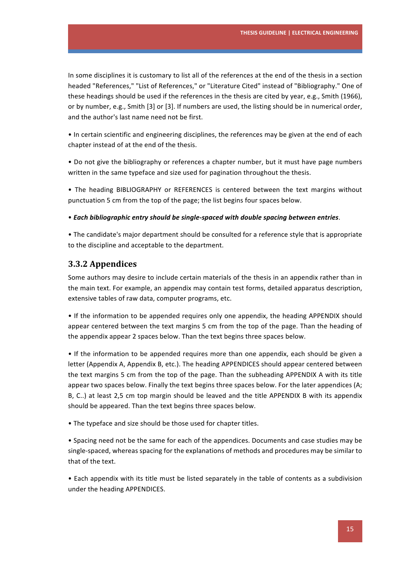In some disciplines it is customary to list all of the references at the end of the thesis in a section headed "References," "List of References," or "Literature Cited" instead of "Bibliography." One of these headings should be used if the references in the thesis are cited by year, e.g., Smith (1966), or by number, e.g., Smith [3] or [3]. If numbers are used, the listing should be in numerical order, and the author's last name need not be first.

• In certain scientific and engineering disciplines, the references may be given at the end of each chapter instead of at the end of the thesis.

• Do not give the bibliography or references a chapter number, but it must have page numbers written in the same typeface and size used for pagination throughout the thesis.

• The heading BIBLIOGRAPHY or REFERENCES is centered between the text margins without punctuation 5 cm from the top of the page; the list begins four spaces below.

• Each bibliographic entry should be single-spaced with double spacing between entries.

• The candidate's major department should be consulted for a reference style that is appropriate to the discipline and acceptable to the department.

### **3.3.2 Appendices**

Some authors may desire to include certain materials of the thesis in an appendix rather than in the main text. For example, an appendix may contain test forms, detailed apparatus description, extensive tables of raw data, computer programs, etc.

• If the information to be appended requires only one appendix, the heading APPENDIX should appear centered between the text margins 5 cm from the top of the page. Than the heading of the appendix appear 2 spaces below. Than the text begins three spaces below.

• If the information to be appended requires more than one appendix, each should be given a letter (Appendix A, Appendix B, etc.). The heading APPENDICES should appear centered between the text margins 5 cm from the top of the page. Than the subheading APPENDIX A with its title appear two spaces below. Finally the text begins three spaces below. For the later appendices  $(A;$ B, C..) at least 2,5 cm top margin should be leaved and the title APPENDIX B with its appendix should be appeared. Than the text begins three spaces below.

• The typeface and size should be those used for chapter titles.

• Spacing need not be the same for each of the appendices. Documents and case studies may be single-spaced, whereas spacing for the explanations of methods and procedures may be similar to that of the text.

• Each appendix with its title must be listed separately in the table of contents as a subdivision under the heading APPENDICES.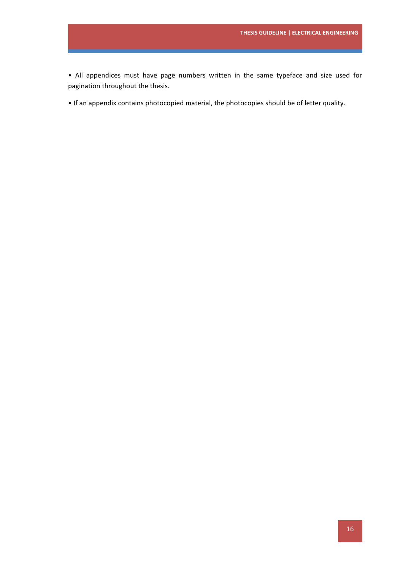• All appendices must have page numbers written in the same typeface and size used for pagination throughout the thesis.

• If an appendix contains photocopied material, the photocopies should be of letter quality.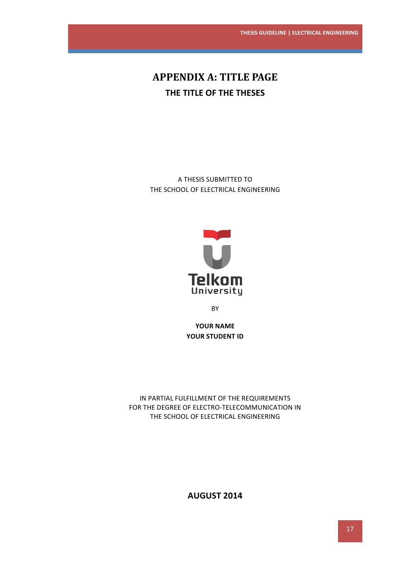# **APPENDIX A: TITLE PAGE THE TITLE OF THE THESES**

A THESIS SUBMITTED TO THE SCHOOL OF ELECTRICAL ENGINEERING



**BY** 

YOUR NAME YOUR STUDENT ID

IN PARTIAL FULFILLMENT OF THE REQUIREMENTS FOR THE DEGREE OF ELECTRO-TELECOMMUNICATION IN THE SCHOOL OF ELECTRICAL ENGINEERING

**AUGUST 2014**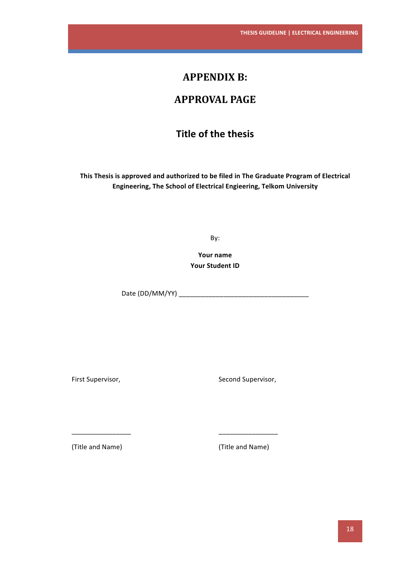# **APPENDIX B:**

# **APPROVAL PAGE**

# **Title of the thesis**

This Thesis is approved and authorized to be filed in The Graduate Program of Electrical **Engineering, The School of Electrical Engieering, Telkom University** 

By:

**Your name Your Student ID** 

Date (DD/MM/YY) \_\_\_\_\_\_\_\_\_\_\_\_\_\_\_\_\_\_\_\_\_\_\_\_\_\_\_\_\_\_\_\_\_\_\_

First Supervisor,

Second Supervisor,

(Title and Name)

\_\_\_\_\_\_\_\_\_\_\_\_\_\_\_\_ 

(Title and Name)

\_\_\_\_\_\_\_\_\_\_\_\_\_\_\_\_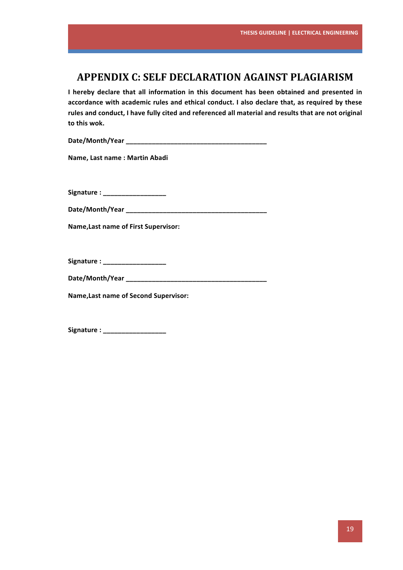# **APPENDIX C: SELF DECLARATION AGAINST PLAGIARISM**

**I** hereby declare that all information in this document has been obtained and presented in accordance with academic rules and ethical conduct. I also declare that, as required by these rules and conduct, I have fully cited and referenced all material and results that are not original to this wok.

**Date/Month/Year \_\_\_\_\_\_\_\_\_\_\_\_\_\_\_\_\_\_\_\_\_\_\_\_\_\_\_\_\_\_\_\_\_\_\_\_\_\_**

**Name, Last name : Martin Abadi** 

Signature : \_\_\_\_\_\_\_\_\_\_\_\_\_\_\_\_\_\_\_\_

**Date/Month/Year \_\_\_\_\_\_\_\_\_\_\_\_\_\_\_\_\_\_\_\_\_\_\_\_\_\_\_\_\_\_\_\_\_\_\_\_\_\_**

**Name, Last name of First Supervisor:** 

**Signature : \_\_\_\_\_\_\_\_\_\_\_\_\_\_\_\_\_**

**Date/Month/Year \_\_\_\_\_\_\_\_\_\_\_\_\_\_\_\_\_\_\_\_\_\_\_\_\_\_\_\_\_\_\_\_\_\_\_\_\_\_**

**Name,Last name of Second Supervisor:**

**Signature : \_\_\_\_\_\_\_\_\_\_\_\_\_\_\_\_\_**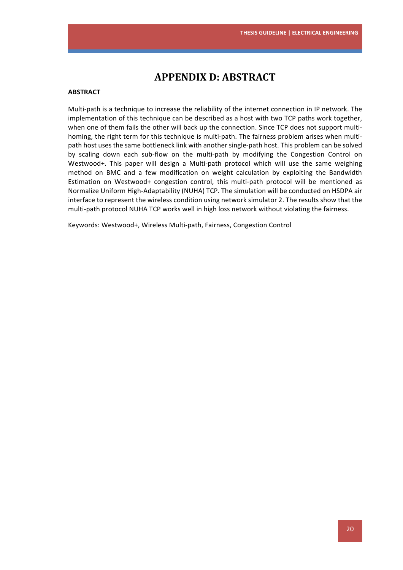# **APPENDIX D: ABSTRACT**

#### **ABSTRACT**

Multi-path is a technique to increase the reliability of the internet connection in IP network. The implementation of this technique can be described as a host with two TCP paths work together, when one of them fails the other will back up the connection. Since TCP does not support multihoming, the right term for this technique is multi-path. The fairness problem arises when multipath host uses the same bottleneck link with another single-path host. This problem can be solved by scaling down each sub-flow on the multi-path by modifying the Congestion Control on Westwood+. This paper will design a Multi-path protocol which will use the same weighing method on BMC and a few modification on weight calculation by exploiting the Bandwidth Estimation on Westwood+ congestion control, this multi-path protocol will be mentioned as Normalize Uniform High-Adaptability (NUHA) TCP. The simulation will be conducted on HSDPA air interface to represent the wireless condition using network simulator 2. The results show that the multi-path protocol NUHA TCP works well in high loss network without violating the fairness.

Keywords: Westwood+, Wireless Multi-path, Fairness, Congestion Control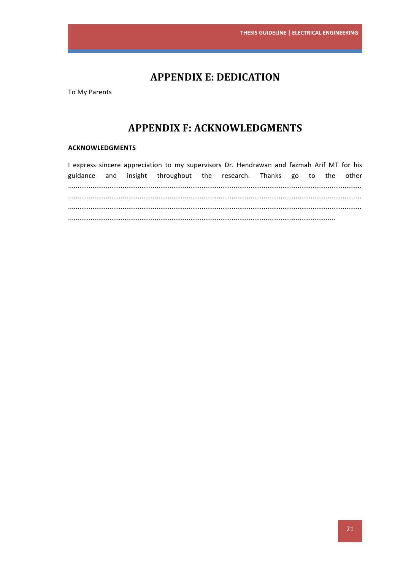# **APPENDIX E: DEDICATION**

To My Parents

# **APPENDIX F: ACKNOWLEDGMENTS**

#### **ACKNOWLEDGMENTS**

I express sincere appreciation to my supervisors Dr. Hendrawan and fazmah Arif MT for his and insight throughout the research. Thanks go to the other guidance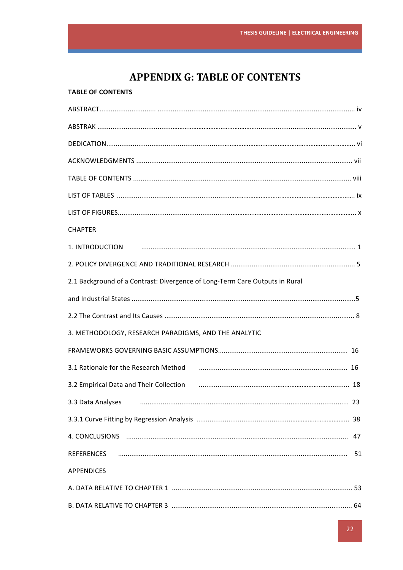# **APPENDIX G: TABLE OF CONTENTS**

### **TABLE OF CONTENTS**

| <b>CHAPTER</b>                                                                                                 |
|----------------------------------------------------------------------------------------------------------------|
| 1. INTRODUCTION                                                                                                |
|                                                                                                                |
| 2.1 Background of a Contrast: Divergence of Long-Term Care Outputs in Rural                                    |
|                                                                                                                |
|                                                                                                                |
| 3. METHODOLOGY, RESEARCH PARADIGMS, AND THE ANALYTIC                                                           |
|                                                                                                                |
| 3.1 Rationale for the Research Method (2000) (2000) (2000) (3.1 Rationale for the Research Method              |
| 3.2 Empirical Data and Their Collection (1990) (2000) (2000) (3.2 Empirical Data and Their Collection (2000) ( |
| 3.3 Data Analyses                                                                                              |
|                                                                                                                |
|                                                                                                                |
|                                                                                                                |
| <b>APPENDICES</b>                                                                                              |
|                                                                                                                |
|                                                                                                                |